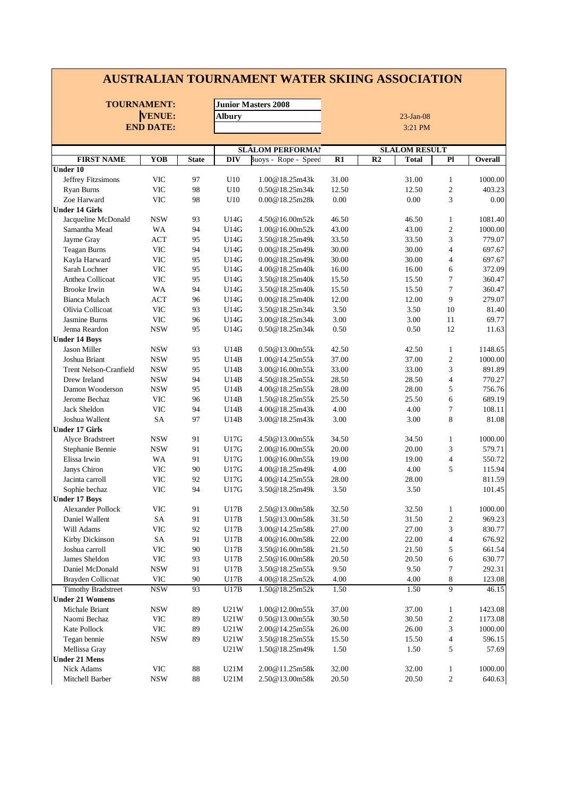#### **AUSTRALIAN TOURNAMENT WATER SKIING ASSOCIATION**

|                               | <b>TOURNAMENT:</b> |              |               | <b>Junior Masters 2008</b> |              |                |                      |                |         |
|-------------------------------|--------------------|--------------|---------------|----------------------------|--------------|----------------|----------------------|----------------|---------|
| <b>VENUE:</b>                 |                    |              | <b>Albury</b> |                            | $23$ -Jan-08 |                |                      |                |         |
|                               | <b>END DATE:</b>   |              |               |                            |              |                | 3:21 PM              |                |         |
|                               |                    |              |               |                            |              |                |                      |                |         |
|                               |                    |              |               | <b>SLALOM PERFORMA!</b>    |              |                | <b>SLALOM RESULT</b> |                |         |
| <b>FIRST NAME</b>             | <b>YOB</b>         | <b>State</b> | <b>DIV</b>    | Buoys - Rope - Speed       | R1           | R <sub>2</sub> | <b>Total</b>         | P1             | Overall |
| <b>Under 10</b>               |                    |              |               |                            |              |                |                      |                |         |
| Jeffrey Fitzsimons            | VIC                | 97           | U10           | 1.00@18.25m43k             | 31.00        |                | 31.00                | $\mathbf{1}$   | 1000.00 |
| <b>Ryan Burns</b>             | <b>VIC</b>         | 98           | U10           | 0.50@18.25m34k             | 12.50        |                | 12.50                | $\overline{2}$ | 403.23  |
| Zoe Harward                   | VIC                | 98           | U10           | 0.00@18.25m28k             | 0.00         |                | 0.00                 | 3              | 0.00    |
| <b>Under 14 Girls</b>         |                    |              |               |                            |              |                |                      |                |         |
| Jacqueline McDonald           | <b>NSW</b>         | 93           | U14G          | 4.50@16.00m52k             | 46.50        |                | 46.50                | $\mathbf{1}$   | 1081.40 |
| Samantha Mead                 | WA                 | 94           | U14G          | 1.00@16.00m52k             | 43.00        |                | 43.00                | $\sqrt{2}$     | 1000.00 |
| Jayme Gray                    | <b>ACT</b>         | 95           | U14G          | 3.50@18.25m49k             | 33.50        |                | 33.50                | 3              | 779.07  |
| <b>Teagan Burns</b>           | <b>VIC</b>         | 94           | U14G          | 0.00@18.25m49k             | 30.00        |                | 30.00                | $\overline{4}$ | 697.67  |
| Kayla Harward                 | <b>VIC</b>         | 95           | U14G          | 0.00@18.25m49k             | 30.00        |                | 30.00                | $\overline{4}$ | 697.67  |
| Sarah Lochner                 | <b>VIC</b>         | 95           | U14G          | 4.00@18.25m40k             | 16.00        |                | 16.00                | 6              | 372.09  |
| Anthea Collicoat              | <b>VIC</b>         | 95           | U14G          | 3.50@18.25m40k             | 15.50        |                | 15.50                | $\tau$         | 360.47  |
| <b>Brooke Irwin</b>           | <b>WA</b>          | 94           | U14G          | 3.50@18.25m40k             | 15.50        |                | 15.50                | $\tau$         | 360.47  |
| Bianca Mulach                 | ACT                | 96           | U14G          | 0.00@18.25m40k             | 12.00        |                | 12.00                | 9              | 279.07  |
| Olivia Collicoat              | <b>VIC</b>         | 93           | U14G          | 3.50@18.25m34k             | 3.50         |                | 3.50                 | 10             | 81.40   |
| Jasmine Burns                 | <b>VIC</b>         | 96           | U14G          | 3.00@18.25m34k             | 3.00         |                | 3.00                 | $11\,$         | 69.77   |
| Jenna Reardon                 | <b>NSW</b>         | 95           | U14G          | 0.50@18.25m34k             | 0.50         |                | 0.50                 | 12             | 11.63   |
| <b>Under 14 Boys</b>          |                    |              |               |                            |              |                |                      |                |         |
| <b>Jason Miller</b>           | <b>NSW</b>         | 93           | U14B          | 0.50@13.00m55k             | 42.50        |                | 42.50                | $\mathbf{1}$   | 1148.65 |
| Joshua Briant                 | <b>NSW</b>         | 95           | U14B          | 1.00@14.25m55k             | 37.00        |                | 37.00                | $\sqrt{2}$     | 1000.00 |
| <b>Trent Nelson-Cranfield</b> | <b>NSW</b>         | 95           | U14B          | 3.00@16.00m55k             | 33.00        |                | 33.00                | 3              | 891.89  |
| Drew Ireland                  | <b>NSW</b>         | 94           | U14B          | 4.50@18.25m55k             | 28.50        |                | 28.50                | $\overline{4}$ | 770.27  |
| Damon Wooderson               | <b>NSW</b>         | 95           | U14B          | 4.00@18.25m55k             | 28.00        |                | 28.00                | 5              | 756.76  |
| Jerome Bechaz                 | <b>VIC</b>         | 96           | U14B          | 1.50@18.25m55k             | 25.50        |                | 25.50                | 6              | 689.19  |
| Jack Sheldon                  | VIC                | 94           | U14B          | 4.00@18.25m43k             | 4.00         |                | 4.00                 | $\tau$         | 108.11  |
| Joshua Wallent                | SA                 | 97           | U14B          | 3.00@18.25m43k             | 3.00         |                | 3.00                 | 8              | 81.08   |
| <b>Under 17 Girls</b>         |                    |              |               |                            |              |                |                      |                |         |
| Alyce Bradstreet              | <b>NSW</b>         | 91           | U17G          | 4.50@13.00m55k             | 34.50        |                | 34.50                | $\mathbf{1}$   | 1000.00 |
| Stephanie Bennie              | <b>NSW</b>         | 91           | U17G          | 2.00@16.00m55k             | 20.00        |                | 20.00                | 3              | 579.71  |
| Elissa Irwin                  | WA                 | 91           | U17G          | 1.00@16.00m55k             | 19.00        |                | 19.00                | $\overline{4}$ | 550.72  |
| Janys Chiron                  | VIC                | 90           | U17G          | 4.00@18.25m49k             | 4.00         |                | 4.00                 | 5              | 115.94  |
| Jacinta carroll               | VIC                | 92           | U17G          | 4.00@14.25m55k             | 28.00        |                | 28.00                |                | 811.59  |
| Sophie bechaz                 | VIC                | 94           | U17G          | 3.50@18.25m49k             | 3.50         |                | 3.50                 |                | 101.45  |
| <b>Under 17 Boys</b>          |                    |              |               |                            |              |                |                      |                |         |
| Alexander Pollock             | <b>VIC</b>         | 91           | U17B          | 2.50@13.00m58k             | 32.50        |                | 32.50                | 1              | 1000.00 |
| Daniel Wallent                | SA                 | 91           | U17B          | 1.50@13.00m58k             | 31.50        |                | 31.50                | $\mathfrak{D}$ | 969.23  |
| Will Adams                    | VIC                | 92           | U17B          | 3.00@14.25m58k             | 27.00        |                | 27.00                | 3              | 830.77  |
| Kirby Dickinson               | ${\rm SA}$         | 91           | U17B          | 4.00@16.00m58k             | 22.00        |                | 22.00                | 4              | 676.92  |
| Joshua carroll                | <b>VIC</b>         | 90           | U17B          | 3.50@16.00m58k             | 21.50        |                | 21.50                | 5              | 661.54  |
| James Sheldon                 | <b>VIC</b>         | 93           | U17B          | 2.50@16.00m58k             | 20.50        |                | 20.50                | 6              | 630.77  |
| Daniel McDonald               | <b>NSW</b>         | 91           | U17B          | 3.50@18.25m55k             | 9.50         |                | 9.50                 | 7              | 292.31  |
| <b>Brayden Collicoat</b>      | <b>VIC</b>         | 90           | U17B          | 4.00@18.25m52k             | 4.00         |                | 4.00                 | 8              | 123.08  |
| <b>Timothy Bradstreet</b>     | <b>NSW</b>         | 93           | U17B          | 1.50@18.25m52k             | 1.50         |                | 1.50                 | 9              | 46.15   |
| <b>Under 21 Womens</b>        |                    |              |               |                            |              |                |                      |                |         |
| Michale Briant                | <b>NSW</b>         | 89           | U21W          | 1.00@12.00m55k             | 37.00        |                | 37.00                | $\mathbf{1}$   | 1423.08 |
| Naomi Bechaz                  | <b>VIC</b>         | 89           | U21W          | 0.50@13.00m55k             | 30.50        |                | 30.50                | 2              | 1173.08 |
| Kate Pollock                  | <b>VIC</b>         | 89           | U21W          | 2.00@14.25m55k             | 26.00        |                | 26.00                | 3              | 1000.00 |
| Tegan bennie                  | <b>NSW</b>         | 89           | U21W          | 3.50@18.25m55k             | 15.50        |                | 15.50                | $\overline{4}$ | 596.15  |
| Mellissa Gray                 |                    |              | U21W          | 1.50@18.25m49k             | 1.50         |                | 1.50                 | 5              | 57.69   |
| <b>Under 21 Mens</b>          |                    |              |               |                            |              |                |                      |                |         |
| Nick Adams                    | <b>VIC</b>         | 88           | U21M          | 2.00@11.25m58k             | 32.00        |                | 32.00                | $\mathbf{1}$   | 1000.00 |
| Mitchell Barber               | <b>NSW</b>         | 88           | U21M          | 2.50@13.00m58k             | 20.50        |                | 20.50                | $\overline{c}$ | 640.63  |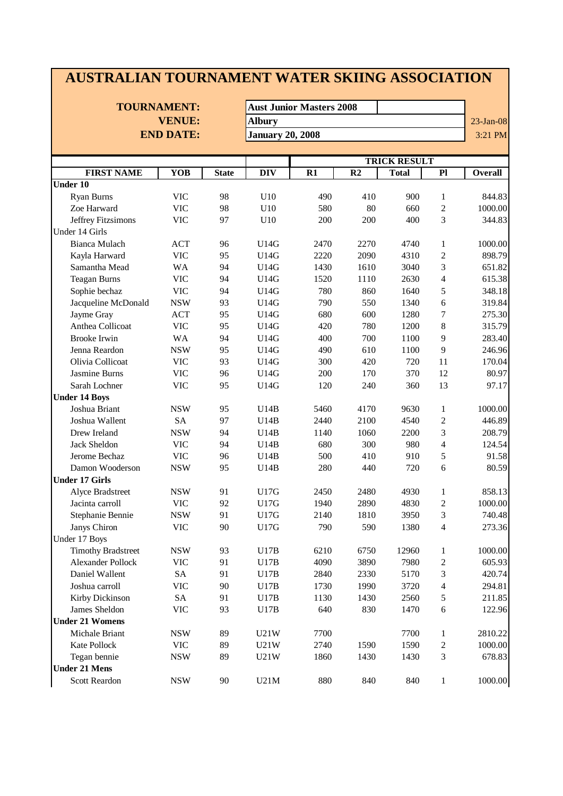| <b>AUSTRALIAN TOURNAMENT WATER SKIING ASSOCIATION</b> |                                     |               |                         |                                 |      |              |                         |                |  |  |
|-------------------------------------------------------|-------------------------------------|---------------|-------------------------|---------------------------------|------|--------------|-------------------------|----------------|--|--|
|                                                       |                                     |               |                         |                                 |      |              |                         |                |  |  |
|                                                       | <b>TOURNAMENT:</b><br><b>VENUE:</b> |               |                         | <b>Aust Junior Masters 2008</b> |      |              |                         |                |  |  |
|                                                       |                                     | <b>Albury</b> |                         |                                 |      |              |                         |                |  |  |
|                                                       | <b>END DATE:</b>                    |               | <b>January 20, 2008</b> |                                 |      |              |                         | 3:21 PM        |  |  |
|                                                       |                                     |               |                         |                                 |      |              |                         |                |  |  |
|                                                       |                                     |               |                         | <b>TRICK RESULT</b>             |      |              |                         |                |  |  |
| <b>FIRST NAME</b>                                     | YOB                                 | <b>State</b>  | <b>DIV</b>              | R1                              | R2   | <b>Total</b> | P1                      | <b>Overall</b> |  |  |
| <b>Under 10</b>                                       |                                     |               |                         |                                 |      |              |                         |                |  |  |
| Ryan Burns                                            | <b>VIC</b>                          | 98            | U10                     | 490                             | 410  | 900          | 1                       | 844.83         |  |  |
| Zoe Harward                                           | <b>VIC</b>                          | 98            | U10                     | 580                             | 80   | 660          | $\mathbf{2}$            | 1000.00        |  |  |
| Jeffrey Fitzsimons                                    | <b>VIC</b>                          | 97            | U10                     | 200                             | 200  | 400          | 3                       | 344.83         |  |  |
| Under 14 Girls                                        |                                     |               |                         |                                 |      |              |                         |                |  |  |
| <b>Bianca Mulach</b>                                  | <b>ACT</b>                          | 96            | U14G                    | 2470                            | 2270 | 4740         | 1                       | 1000.00        |  |  |
| Kayla Harward                                         | <b>VIC</b>                          | 95            | <b>U14G</b>             | 2220                            | 2090 | 4310         | $\overline{c}$          | 898.79         |  |  |
| Samantha Mead                                         | <b>WA</b>                           | 94            | <b>U14G</b>             | 1430                            | 1610 | 3040         | 3                       | 651.82         |  |  |
| <b>Teagan Burns</b>                                   | <b>VIC</b>                          | 94            | <b>U14G</b>             | 1520                            | 1110 | 2630         | $\overline{4}$          | 615.38         |  |  |
| Sophie bechaz                                         | <b>VIC</b>                          | 94            | U14G                    | 780                             | 860  | 1640         | 5                       | 348.18         |  |  |
| Jacqueline McDonald                                   | <b>NSW</b>                          | 93            | U14G                    | 790                             | 550  | 1340         | 6                       | 319.84         |  |  |
| Jayme Gray                                            | <b>ACT</b>                          | 95            | U14G                    | 680                             | 600  | 1280         | 7                       | 275.30         |  |  |
| Anthea Collicoat                                      | <b>VIC</b>                          | 95            | <b>U14G</b>             | 420                             | 780  | 1200         | 8                       | 315.79         |  |  |
| <b>Brooke Irwin</b>                                   | <b>WA</b>                           | 94            | <b>U14G</b>             | 400                             | 700  | 1100         | 9                       | 283.40         |  |  |
| Jenna Reardon                                         | <b>NSW</b>                          | 95            | U14G                    | 490                             | 610  | 1100         | 9                       | 246.96         |  |  |
| Olivia Collicoat                                      | <b>VIC</b>                          | 93            | U14G                    | 300                             | 420  | 720          | 11                      | 170.04         |  |  |
| Jasmine Burns                                         | <b>VIC</b>                          | 96            | U14G                    | 200                             | 170  | 370          | 12                      | 80.97          |  |  |
| Sarah Lochner                                         | <b>VIC</b>                          | 95            | U14G                    | 120                             | 240  | 360          | 13                      | 97.17          |  |  |
| <b>Under 14 Boys</b>                                  |                                     |               |                         |                                 |      |              |                         |                |  |  |
| Joshua Briant                                         | <b>NSW</b>                          | 95            | U14B                    | 5460                            | 4170 | 9630         | 1                       | 1000.00        |  |  |
| Joshua Wallent                                        | <b>SA</b>                           | 97            | U14B                    | 2440                            | 2100 | 4540         | $\overline{c}$          | 446.89         |  |  |
| Drew Ireland                                          | <b>NSW</b>                          | 94            | U14B                    | 1140                            | 1060 | 2200         | 3                       | 208.79         |  |  |
| <b>Jack Sheldon</b>                                   | <b>VIC</b>                          | 94            | U14B                    | 680                             | 300  | 980          | 4                       | 124.54         |  |  |
| Jerome Bechaz                                         | <b>VIC</b>                          | 96            | U14B                    | 500                             | 410  | 910          | 5                       | 91.58          |  |  |
| Damon Wooderson                                       | <b>NSW</b>                          | 95            | U14B                    | 280                             | 440  | 720          | 6                       | 80.59          |  |  |
| <b>Under 17 Girls</b>                                 |                                     |               |                         |                                 |      |              |                         |                |  |  |
| Alyce Bradstreet                                      | <b>NSW</b>                          | 91            | U17G                    | 2450                            | 2480 | 4930         |                         | 858.13         |  |  |
| Jacinta carroll                                       | <b>VIC</b>                          | 92            | U17G                    | 1940                            | 2890 | 4830         | $\overline{\mathbf{c}}$ | 1000.00        |  |  |
| Stephanie Bennie                                      | <b>NSW</b>                          | 91            | U17G                    | 2140                            | 1810 | 3950         | 3                       | 740.48         |  |  |
| Janys Chiron                                          | <b>VIC</b>                          | 90            | <b>U17G</b>             | 790                             | 590  | 1380         | $\overline{4}$          | 273.36         |  |  |
| Under 17 Boys                                         |                                     |               |                         |                                 |      |              |                         |                |  |  |
| <b>Timothy Bradstreet</b>                             | <b>NSW</b>                          | 93            | U17B                    | 6210                            | 6750 | 12960        | $\mathbf{1}$            | 1000.00        |  |  |
| Alexander Pollock                                     | <b>VIC</b>                          | 91            | U17B                    | 4090                            | 3890 | 7980         | $\overline{\mathbf{c}}$ | 605.93         |  |  |
| Daniel Wallent                                        | SA                                  | 91            | U17B                    | 2840                            | 2330 | 5170         | 3                       | 420.74         |  |  |
| Joshua carroll                                        | <b>VIC</b>                          | 90            | U17B                    | 1730                            | 1990 | 3720         | 4                       | 294.81         |  |  |
| Kirby Dickinson                                       | ${\rm SA}$                          | 91            | U17B                    | 1130                            | 1430 | 2560         | 5                       | 211.85         |  |  |
| James Sheldon                                         | <b>VIC</b>                          | 93            | U17B                    | 640                             | 830  | 1470         | 6                       | 122.96         |  |  |
| <b>Under 21 Womens</b>                                |                                     |               |                         |                                 |      |              |                         |                |  |  |
| Michale Briant                                        | <b>NSW</b>                          | 89            | U21W                    | 7700                            |      | 7700         | 1                       | 2810.22        |  |  |
| Kate Pollock                                          | <b>VIC</b>                          | 89            | U21W                    | 2740                            | 1590 | 1590         | $\overline{\mathbf{c}}$ | 1000.00        |  |  |
| Tegan bennie                                          | <b>NSW</b>                          | 89            | U21W                    | 1860                            | 1430 | 1430         | 3                       | 678.83         |  |  |
| <b>Under 21 Mens</b>                                  |                                     |               |                         |                                 |      |              |                         |                |  |  |
| <b>Scott Reardon</b>                                  | <b>NSW</b>                          | 90            | U21M                    | 880                             | 840  | 840          | 1                       | 1000.00        |  |  |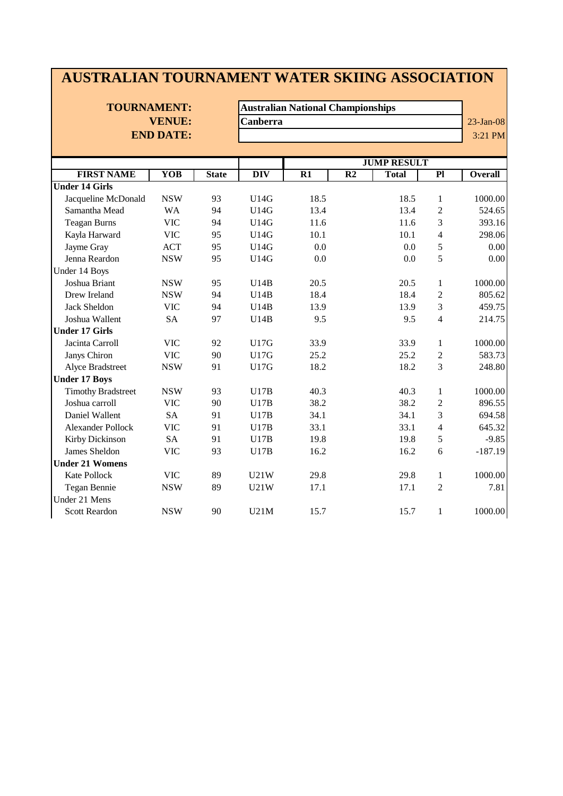### **AUSTRALIAN TOURNAMENT WATER SKIING ASSOCIATION**

# **END DATE:** 3:21 PM

**TOURNAMENT: Australian National Championships VENUE:** Canberra 23-Jan-08

|                           |            |              |                  |      |                 | <b>JUMP RESULT</b> |                 |           |
|---------------------------|------------|--------------|------------------|------|-----------------|--------------------|-----------------|-----------|
| <b>FIRST NAME</b>         | <b>YOB</b> | <b>State</b> | $\overline{DIV}$ | R1   | $\overline{R2}$ | <b>Total</b>       | $\overline{Pl}$ | Overall   |
| <b>Under 14 Girls</b>     |            |              |                  |      |                 |                    |                 |           |
| Jacqueline McDonald       | <b>NSW</b> | 93           | U14G             | 18.5 |                 | 18.5               | $\mathbf{1}$    | 1000.00   |
| Samantha Mead             | WA         | 94           | U14G             | 13.4 |                 | 13.4               | 2               | 524.65    |
| <b>Teagan Burns</b>       | <b>VIC</b> | 94           | U14G             | 11.6 |                 | 11.6               | 3               | 393.16    |
| Kayla Harward             | <b>VIC</b> | 95           | U14G             | 10.1 |                 | 10.1               | $\overline{4}$  | 298.06    |
| Jayme Gray                | <b>ACT</b> | 95           | U14G             | 0.0  |                 | 0.0                | 5               | 0.00      |
| Jenna Reardon             | <b>NSW</b> | 95           | U14G             | 0.0  |                 | 0.0                | 5               | 0.00      |
| Under 14 Boys             |            |              |                  |      |                 |                    |                 |           |
| Joshua Briant             | <b>NSW</b> | 95           | U14B             | 20.5 |                 | 20.5               | 1               | 1000.00   |
| Drew Ireland              | <b>NSW</b> | 94           | U14B             | 18.4 |                 | 18.4               | $\overline{c}$  | 805.62    |
| <b>Jack Sheldon</b>       | <b>VIC</b> | 94           | U14B             | 13.9 |                 | 13.9               | 3               | 459.75    |
| Joshua Wallent            | <b>SA</b>  | 97           | U14B             | 9.5  |                 | 9.5                | $\overline{4}$  | 214.75    |
| <b>Under 17 Girls</b>     |            |              |                  |      |                 |                    |                 |           |
| Jacinta Carroll           | <b>VIC</b> | 92           | <b>U17G</b>      | 33.9 |                 | 33.9               | $\mathbf{1}$    | 1000.00   |
| Janys Chiron              | <b>VIC</b> | 90           | U17G             | 25.2 |                 | 25.2               | $\overline{c}$  | 583.73    |
| Alyce Bradstreet          | <b>NSW</b> | 91           | <b>U17G</b>      | 18.2 |                 | 18.2               | 3               | 248.80    |
| <b>Under 17 Boys</b>      |            |              |                  |      |                 |                    |                 |           |
| <b>Timothy Bradstreet</b> | <b>NSW</b> | 93           | U17B             | 40.3 |                 | 40.3               | $\mathbf{1}$    | 1000.00   |
| Joshua carroll            | <b>VIC</b> | 90           | U17B             | 38.2 |                 | 38.2               | $\overline{2}$  | 896.55    |
| Daniel Wallent            | <b>SA</b>  | 91           | U17B             | 34.1 |                 | 34.1               | 3               | 694.58    |
| <b>Alexander Pollock</b>  | <b>VIC</b> | 91           | U17B             | 33.1 |                 | 33.1               | $\overline{4}$  | 645.32    |
| Kirby Dickinson           | <b>SA</b>  | 91           | U17B             | 19.8 |                 | 19.8               | 5               | $-9.85$   |
| James Sheldon             | <b>VIC</b> | 93           | U17B             | 16.2 |                 | 16.2               | 6               | $-187.19$ |
| <b>Under 21 Womens</b>    |            |              |                  |      |                 |                    |                 |           |
| Kate Pollock              | <b>VIC</b> | 89           | U21W             | 29.8 |                 | 29.8               | $\mathbf{1}$    | 1000.00   |
| Tegan Bennie              | <b>NSW</b> | 89           | U21W             | 17.1 |                 | 17.1               | $\overline{2}$  | 7.81      |
| Under 21 Mens             |            |              |                  |      |                 |                    |                 |           |
| <b>Scott Reardon</b>      | <b>NSW</b> | 90           | U21M             | 15.7 |                 | 15.7               | $\mathbf{1}$    | 1000.00   |